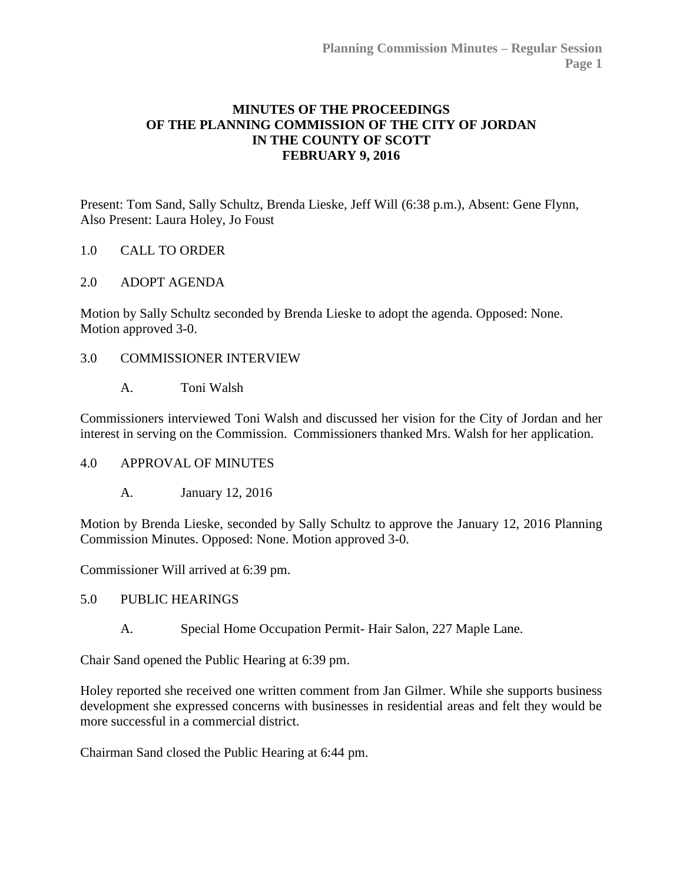# **MINUTES OF THE PROCEEDINGS OF THE PLANNING COMMISSION OF THE CITY OF JORDAN IN THE COUNTY OF SCOTT FEBRUARY 9, 2016**

Present: Tom Sand, Sally Schultz, Brenda Lieske, Jeff Will (6:38 p.m.), Absent: Gene Flynn, Also Present: Laura Holey, Jo Foust

### 1.0 CALL TO ORDER

### 2.0 ADOPT AGENDA

Motion by Sally Schultz seconded by Brenda Lieske to adopt the agenda. Opposed: None. Motion approved 3-0.

### 3.0 COMMISSIONER INTERVIEW

A. Toni Walsh

Commissioners interviewed Toni Walsh and discussed her vision for the City of Jordan and her interest in serving on the Commission. Commissioners thanked Mrs. Walsh for her application.

### 4.0 APPROVAL OF MINUTES

A. January 12, 2016

Motion by Brenda Lieske, seconded by Sally Schultz to approve the January 12, 2016 Planning Commission Minutes. Opposed: None. Motion approved 3-0.

Commissioner Will arrived at 6:39 pm.

### 5.0 PUBLIC HEARINGS

A. Special Home Occupation Permit- Hair Salon, 227 Maple Lane.

Chair Sand opened the Public Hearing at 6:39 pm.

Holey reported she received one written comment from Jan Gilmer. While she supports business development she expressed concerns with businesses in residential areas and felt they would be more successful in a commercial district.

Chairman Sand closed the Public Hearing at 6:44 pm.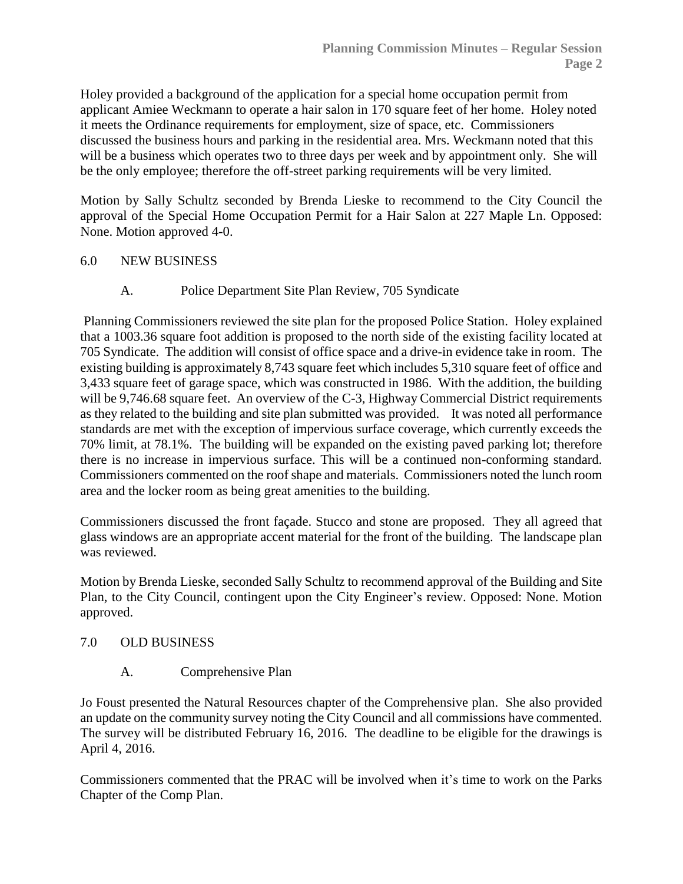Holey provided a background of the application for a special home occupation permit from applicant Amiee Weckmann to operate a hair salon in 170 square feet of her home. Holey noted it meets the Ordinance requirements for employment, size of space, etc. Commissioners discussed the business hours and parking in the residential area. Mrs. Weckmann noted that this will be a business which operates two to three days per week and by appointment only. She will be the only employee; therefore the off-street parking requirements will be very limited.

Motion by Sally Schultz seconded by Brenda Lieske to recommend to the City Council the approval of the Special Home Occupation Permit for a Hair Salon at 227 Maple Ln. Opposed: None. Motion approved 4-0.

## 6.0 NEW BUSINESS

A. Police Department Site Plan Review, 705 Syndicate

Planning Commissioners reviewed the site plan for the proposed Police Station. Holey explained that a 1003.36 square foot addition is proposed to the north side of the existing facility located at 705 Syndicate. The addition will consist of office space and a drive-in evidence take in room. The existing building is approximately 8,743 square feet which includes 5,310 square feet of office and 3,433 square feet of garage space, which was constructed in 1986. With the addition, the building will be 9,746.68 square feet. An overview of the C-3, Highway Commercial District requirements as they related to the building and site plan submitted was provided. It was noted all performance standards are met with the exception of impervious surface coverage, which currently exceeds the 70% limit, at 78.1%. The building will be expanded on the existing paved parking lot; therefore there is no increase in impervious surface. This will be a continued non-conforming standard. Commissioners commented on the roof shape and materials. Commissioners noted the lunch room area and the locker room as being great amenities to the building.

Commissioners discussed the front façade. Stucco and stone are proposed. They all agreed that glass windows are an appropriate accent material for the front of the building. The landscape plan was reviewed.

Motion by Brenda Lieske, seconded Sally Schultz to recommend approval of the Building and Site Plan, to the City Council, contingent upon the City Engineer's review. Opposed: None. Motion approved.

### 7.0 OLD BUSINESS

A. Comprehensive Plan

Jo Foust presented the Natural Resources chapter of the Comprehensive plan. She also provided an update on the community survey noting the City Council and all commissions have commented. The survey will be distributed February 16, 2016. The deadline to be eligible for the drawings is April 4, 2016.

Commissioners commented that the PRAC will be involved when it's time to work on the Parks Chapter of the Comp Plan.